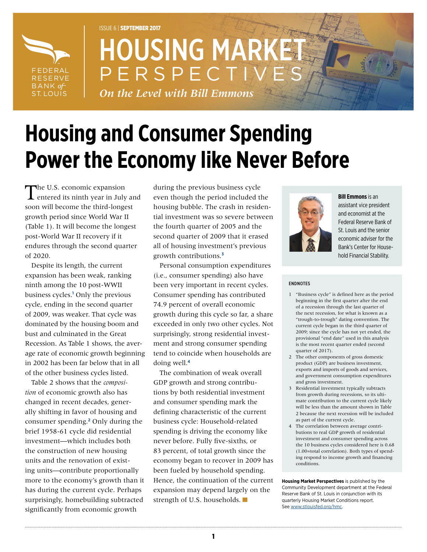

# ISSUE 6 | SEPTEMBER 2017 **HOUSING MARK** PERSPECT

*On the Level with Bill Emmons*

# **Housing and Consumer Spending Power the Economy like Never Before**

The U.S. economic expansion entered its ninth year in July and soon will become the third-longest growth period since World War II (Table 1). It will become the longest post-World War II recovery if it endures through the second quarter of 2020.

Despite its length, the current expansion has been weak, ranking ninth among the 10 post-WWII business cycles.**<sup>1</sup>** Only the previous cycle, ending in the second quarter of 2009, was weaker. That cycle was dominated by the housing boom and bust and culminated in the Great Recession. As Table 1 shows, the average rate of economic growth beginning in 2002 has been far below that in all of the other business cycles listed.

Table 2 shows that the *composition* of economic growth also has changed in recent decades, generally shifting in favor of housing and consumer spending.**<sup>2</sup>** Only during the brief 1958-61 cycle did residential investment—which includes both the construction of new housing units and the renovation of existing units—contribute proportionally more to the economy's growth than it has during the current cycle. Perhaps surprisingly, homebuilding subtracted significantly from economic growth

during the previous business cycle even though the period included the housing bubble. The crash in residential investment was so severe between the fourth quarter of 2005 and the second quarter of 2009 that it erased all of housing investment's previous growth contributions.**<sup>3</sup>**

Personal consumption expenditures (i.e., consumer spending) also have been very important in recent cycles. Consumer spending has contributed 74.9 percent of overall economic growth during this cycle so far, a share exceeded in only two other cycles. Not surprisingly, strong residential investment and strong consumer spending tend to coincide when households are doing well.**<sup>4</sup>**

The combination of weak overall GDP growth and strong contributions by both residential investment and consumer spending mark the defining characteristic of the current business cycle: Household-related spending is driving the economy like never before. Fully five-sixths, or 83 percent, of total growth since the economy began to recover in 2009 has been fueled by household spending. Hence, the continuation of the current expansion may depend largely on the strength of U.S. households.



**Bill Emmons** is an assistant vice president and economist at the Federal Reserve Bank of St. Louis and the senior economic adviser for the Bank's Center for Household Financial Stability.

#### <span id="page-0-0"></span>ENDNOTES

- 1 "Business cycle" is defined here as the period beginning in the first quarter after the end of a recession through the last quarter of the next recession, for what is known as a "trough-to-trough" dating convention. The current cycle began in the third quarter of 2009; since the cycle has not yet ended, the provisional "end date" used in this analysis is the most recent quarter ended (second quarter of 2017).
- 2 The other components of gross domestic product (GDP) are business investment, exports and imports of goods and services, and government consumption expenditures and gross investment.
- 3 Residential investment typically subtracts from growth during recessions, so its ultimate contribution to the current cycle likely will be less than the amount shown in Table 2 because the next recession will be included as part of the current cycle.
- 4 The correlation between average contributions to real GDP growth of residential investment and consumer spending across the 10 business cycles considered here is 0.68 (1.00=total correlation). Both types of spending respond to income growth and financing conditions.

**Housing Market Perspectives** is published by the Community Development department at the Federal Reserve Bank of St. Louis in conjunction with its quarterly Housing Market Conditions report. See [www.stlouisfed.org/hmc.](https://www.stlouisfed.org/hmc)